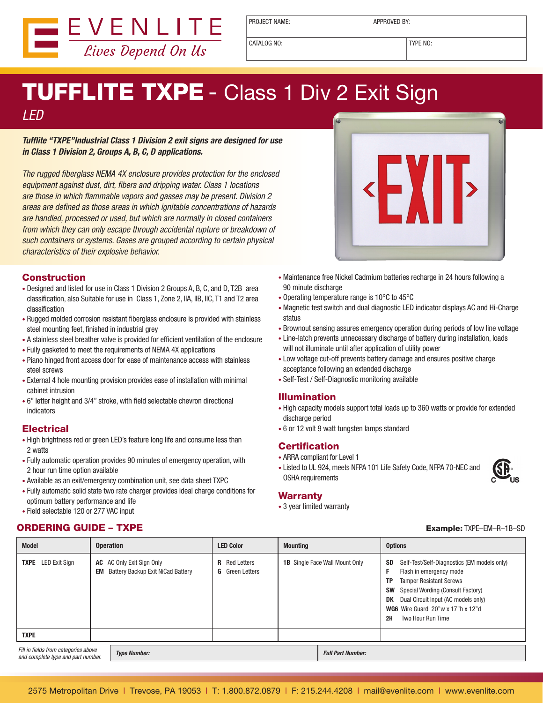

PROJECT NAME:  $\vert$  APPROVED BY:

CATALOG NO: TYPE NO:

**EXIE** 

# **TUFFLITE TXPE - Class 1 Div 2 Exit Sign**

### LED

**Tufflite "TXPE"Industrial Class 1 Division 2 exit signs are designed for use in Class 1 Division 2, Groups A, B, C, D applications.** 

The rugged fiberglass NEMA 4X enclosure provides protection for the enclosed equipment against dust, dirt, fibers and dripping water. Class 1 locations are those in which flammable vapors and gasses may be present. Division 2 areas are defined as those areas in which ignitable concentrations of hazards are handled, processed or used, but which are normally in closed containers from which they can only escape through accidental rupture or breakdown of such containers or systems. Gases are grouped according to certain physical characteristics of their explosive behavior.

#### **Construction**

- Designed and listed for use in Class 1 Division 2 Groups A, B, C, and D, T2B area classification, also Suitable for use in Class 1, Zone 2, IIA, IIB, IIC, T1 and T2 area classification
- Rugged molded corrosion resistant fiberglass enclosure is provided with stainless steel mounting feet, finished in industrial grey
- A stainless steel breather valve is provided for efficient ventilation of the enclosure
- • Fully gasketed to meet the requirements of NEMA 4X applications
- • Piano hinged front access door for ease of maintenance access with stainless steel screws
- External 4 hole mounting provision provides ease of installation with minimal cabinet intrusion
- 6" letter height and 3/4" stroke, with field selectable chevron directional indicators

#### **Electrical**

- High brightness red or green LED's feature long life and consume less than 2 watts
- • Fully automatic operation provides 90 minutes of emergency operation, with 2 hour run time option available
- Available as an exit/emergency combination unit, see data sheet TXPC
- • Fully automatic solid state two rate charger provides ideal charge conditions for optimum battery performance and life
- Field selectable 120 or 277 VAC input

#### ORDERING GUIDE – TXPE Example: TXPE–EM–R–1B–SD

- Maintenance free Nickel Cadmium batteries recharge in 24 hours following a 90 minute discharge
- Operating temperature range is 10°C to 45°C
- Magnetic test switch and dual diagnostic LED indicator displays AC and Hi-Charge status
- Brownout sensing assures emergency operation during periods of low line voltage
- Line-latch prevents unnecessary discharge of battery during installation, loads will not illuminate until after application of utility power
- Low voltage cut-off prevents battery damage and ensures positive charge acceptance following an extended discharge
- Self-Test / Self-Diagnostic monitoring available

#### Illumination

- High capacity models support total loads up to 360 watts or provide for extended discharge period
- 6 or 12 volt 9 watt tungsten lamps standard

#### **Certification**

- ARRA compliant for Level 1
- Listed to UL 924, meets NFPA 101 Life Safety Code, NFPA 70-NEC and OSHA requirements



#### **Warranty**

• 3 year limited warranty

| <b>Model</b>                                                                                      | <b>Operation</b>                                                                | <b>LED Color</b>                               | <b>Mounting</b> |                                       | <b>Options</b>                                                                                                                                                                                                                                                                             |
|---------------------------------------------------------------------------------------------------|---------------------------------------------------------------------------------|------------------------------------------------|-----------------|---------------------------------------|--------------------------------------------------------------------------------------------------------------------------------------------------------------------------------------------------------------------------------------------------------------------------------------------|
| <b>TXPE</b> LED Exit Sign                                                                         | <b>AC</b> AC Only Exit Sign Only<br><b>EM</b> Battery Backup Exit NiCad Battery | <b>R</b> Red Letters<br><b>G</b> Green Letters |                 | <b>1B</b> Single Face Wall Mount Only | Self-Test/Self-Diagnostics (EM models only)<br>SD<br>Flash in emergency mode<br><b>Tamper Resistant Screws</b><br>ТP<br>Special Wording (Consult Factory)<br><b>SW</b><br>Dual Circuit Input (AC models only)<br>DK<br>WG6 Wire Guard 20"w x 17"h x 12"d<br>Two Hour Run Time<br><b>2H</b> |
| <b>TXPE</b>                                                                                       |                                                                                 |                                                |                 |                                       |                                                                                                                                                                                                                                                                                            |
| Fill in fields from categories above<br><b>Type Number:</b><br>and complete type and part number. |                                                                                 |                                                |                 | <b>Full Part Number:</b>              |                                                                                                                                                                                                                                                                                            |